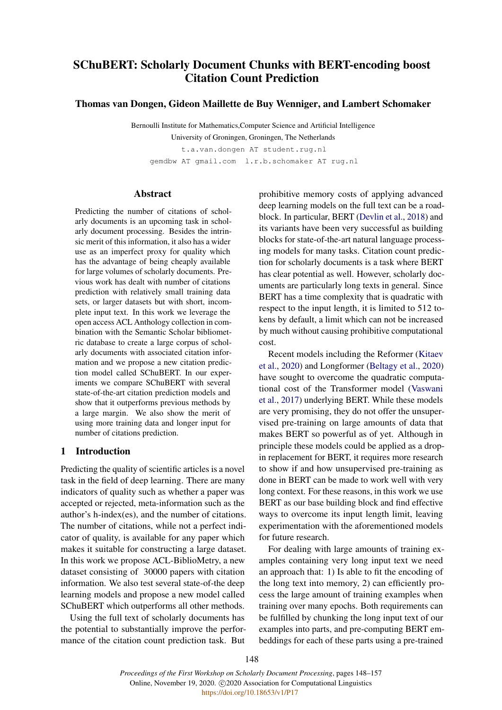# <span id="page-0-0"></span>SChuBERT: Scholarly Document Chunks with BERT-encoding boost Citation Count Prediction

Thomas van Dongen, Gideon Maillette de Buy Wenniger, and Lambert Schomaker

Bernoulli Institute for Mathematics,Computer Science and Artificial Intelligence University of Groningen, Groningen, The Netherlands

t.a.van.dongen AT student.rug.nl

gemdbw AT gmail.com l.r.b.schomaker AT rug.nl

## Abstract

Predicting the number of citations of scholarly documents is an upcoming task in scholarly document processing. Besides the intrinsic merit of this information, it also has a wider use as an imperfect proxy for quality which has the advantage of being cheaply available for large volumes of scholarly documents. Previous work has dealt with number of citations prediction with relatively small training data sets, or larger datasets but with short, incomplete input text. In this work we leverage the open access ACL Anthology collection in combination with the Semantic Scholar bibliometric database to create a large corpus of scholarly documents with associated citation information and we propose a new citation prediction model called SChuBERT. In our experiments we compare SChuBERT with several state-of-the-art citation prediction models and show that it outperforms previous methods by a large margin. We also show the merit of using more training data and longer input for number of citations prediction.

## 1 Introduction

Predicting the quality of scientific articles is a novel task in the field of deep learning. There are many indicators of quality such as whether a paper was accepted or rejected, meta-information such as the author's h-index(es), and the number of citations. The number of citations, while not a perfect indicator of quality, is available for any paper which makes it suitable for constructing a large dataset. In this work we propose ACL-BiblioMetry, a new dataset consisting of 30000 papers with citation information. We also test several state-of-the deep learning models and propose a new model called SChuBERT which outperforms all other methods.

Using the full text of scholarly documents has the potential to substantially improve the performance of the citation count prediction task. But

prohibitive memory costs of applying advanced deep learning models on the full text can be a roadblock. In particular, BERT [\(Devlin et al.,](#page-8-0) [2018\)](#page-8-0) and its variants have been very successful as building blocks for state-of-the-art natural language processing models for many tasks. Citation count prediction for scholarly documents is a task where BERT has clear potential as well. However, scholarly documents are particularly long texts in general. Since BERT has a time complexity that is quadratic with respect to the input length, it is limited to 512 tokens by default, a limit which can not be increased by much without causing prohibitive computational cost.

Recent models including the Reformer [\(Kitaev](#page-8-1) [et al.,](#page-8-1) [2020\)](#page-8-1) and Longformer [\(Beltagy et al.,](#page-8-2) [2020\)](#page-8-2) have sought to overcome the quadratic computational cost of the Transformer model [\(Vaswani](#page-9-0) [et al.,](#page-9-0) [2017\)](#page-9-0) underlying BERT. While these models are very promising, they do not offer the unsupervised pre-training on large amounts of data that makes BERT so powerful as of yet. Although in principle these models could be applied as a dropin replacement for BERT, it requires more research to show if and how unsupervised pre-training as done in BERT can be made to work well with very long context. For these reasons, in this work we use BERT as our base building block and find effective ways to overcome its input length limit, leaving experimentation with the aforementioned models for future research.

For dealing with large amounts of training examples containing very long input text we need an approach that: 1) Is able to fit the encoding of the long text into memory, 2) can efficiently process the large amount of training examples when training over many epochs. Both requirements can be fulfilled by chunking the long input text of our examples into parts, and pre-computing BERT embeddings for each of these parts using a pre-trained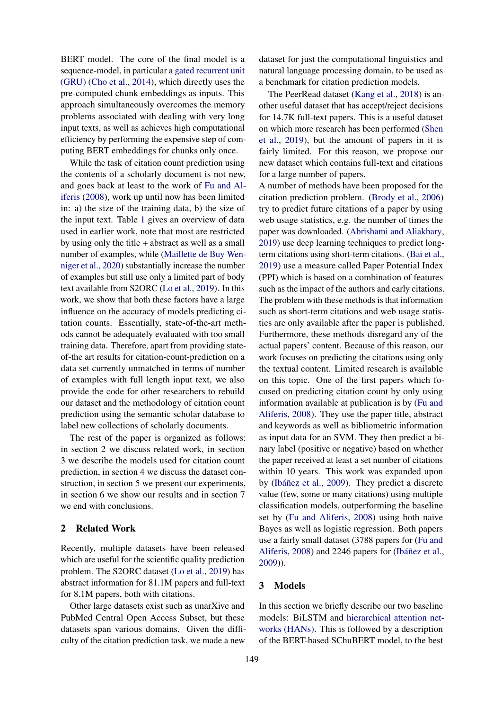BERT model. The core of the final model is a sequence-model, in particular a [gated recurrent unit](#page-0-0) [\(GRU\)](#page-0-0) [\(Cho et al.,](#page-8-3) [2014\)](#page-8-3), which directly uses the pre-computed chunk embeddings as inputs. This approach simultaneously overcomes the memory problems associated with dealing with very long input texts, as well as achieves high computational efficiency by performing the expensive step of computing BERT embeddings for chunks only once.

While the task of citation count prediction using the contents of a scholarly document is not new, and goes back at least to the work of [Fu and Al](#page-8-4)[iferis](#page-8-4) [\(2008\)](#page-8-4), work up until now has been limited in: a) the size of the training data, b) the size of the input text. Table [1](#page-6-0) gives an overview of data used in earlier work, note that most are restricted by using only the title + abstract as well as a small number of examples, while [\(Maillette de Buy Wen](#page-8-5)[niger et al.,](#page-8-5) [2020\)](#page-8-5) substantially increase the number of examples but still use only a limited part of body text available from S2ORC [\(Lo et al.,](#page-9-1) [2019\)](#page-9-1). In this work, we show that both these factors have a large influence on the accuracy of models predicting citation counts. Essentially, state-of-the-art methods cannot be adequately evaluated with too small training data. Therefore, apart from providing stateof-the art results for citation-count-prediction on a data set currently unmatched in terms of number of examples with full length input text, we also provide the code for other researchers to rebuild our dataset and the methodology of citation count prediction using the semantic scholar database to label new collections of scholarly documents.

The rest of the paper is organized as follows: in section 2 we discuss related work, in section 3 we describe the models used for citation count prediction, in section 4 we discuss the dataset construction, in section 5 we present our experiments, in section 6 we show our results and in section 7 we end with conclusions.

#### 2 Related Work

Recently, multiple datasets have been released which are useful for the scientific quality prediction problem. The S2ORC dataset [\(Lo et al.,](#page-9-1) [2019\)](#page-9-1) has abstract information for 81.1M papers and full-text for 8.1M papers, both with citations.

Other large datasets exist such as unarXive and PubMed Central Open Access Subset, but these datasets span various domains. Given the difficulty of the citation prediction task, we made a new dataset for just the computational linguistics and natural language processing domain, to be used as a benchmark for citation prediction models.

The PeerRead dataset [\(Kang et al.,](#page-8-6) [2018\)](#page-8-6) is another useful dataset that has accept/reject decisions for 14.7K full-text papers. This is a useful dataset on which more research has been performed [\(Shen](#page-9-2) [et al.,](#page-9-2) [2019\)](#page-9-2), but the amount of papers in it is fairly limited. For this reason, we propose our new dataset which contains full-text and citations for a large number of papers.

A number of methods have been proposed for the citation prediction problem. [\(Brody et al.,](#page-8-7) [2006\)](#page-8-7) try to predict future citations of a paper by using web usage statistics, e.g. the number of times the paper was downloaded. [\(Abrishami and Aliakbary,](#page-8-8) [2019\)](#page-8-8) use deep learning techniques to predict longterm citations using short-term citations. [\(Bai et al.,](#page-8-9) [2019\)](#page-8-9) use a measure called Paper Potential Index (PPI) which is based on a combination of features such as the impact of the authors and early citations. The problem with these methods is that information such as short-term citations and web usage statistics are only available after the paper is published. Furthermore, these methods disregard any of the actual papers' content. Because of this reason, our work focuses on predicting the citations using only the textual content. Limited research is available on this topic. One of the first papers which focused on predicting citation count by only using information available at publication is by [\(Fu and](#page-8-4) [Aliferis,](#page-8-4) [2008\)](#page-8-4). They use the paper title, abstract and keywords as well as bibliometric information as input data for an SVM. They then predict a binary label (positive or negative) based on whether the paper received at least a set number of citations within 10 years. This work was expanded upon by [\(Ibáñez et al.,](#page-8-10) [2009\)](#page-8-10). They predict a discrete value (few, some or many citations) using multiple classification models, outperforming the baseline set by [\(Fu and Aliferis,](#page-8-4) [2008\)](#page-8-4) using both naive Bayes as well as logistic regression. Both papers use a fairly small dataset (3788 papers for [\(Fu and](#page-8-4) [Aliferis,](#page-8-4) [2008\)](#page-8-4) and 2246 papers for [\(Ibáñez et al.,](#page-8-10) [2009\)](#page-8-10)).

#### 3 Models

In this section we briefly describe our two baseline models: BiLSTM and [hierarchical attention net](#page-0-0)[works \(HANs\).](#page-0-0) This is followed by a description of the BERT-based SChuBERT model, to the best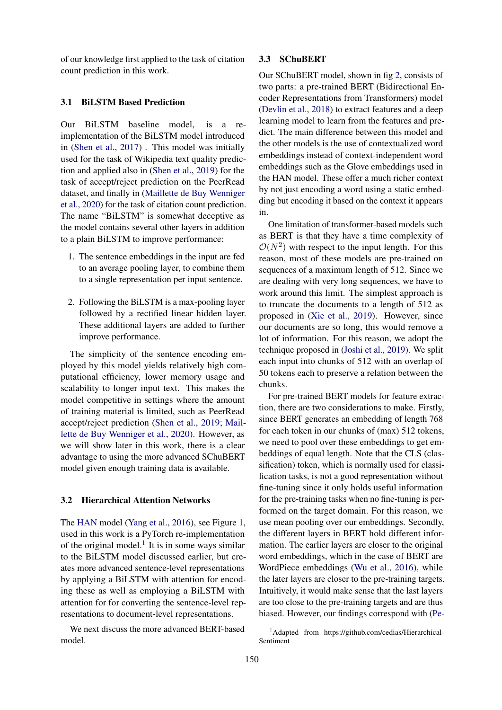of our knowledge first applied to the task of citation count prediction in this work.

#### 3.1 BiLSTM Based Prediction

Our BiLSTM baseline model, is a reimplementation of the BiLSTM model introduced in [\(Shen et al.,](#page-9-3) [2017\)](#page-9-3) . This model was initially used for the task of Wikipedia text quality prediction and applied also in [\(Shen et al.,](#page-9-2) [2019\)](#page-9-2) for the task of accept/reject prediction on the PeerRead dataset, and finally in [\(Maillette de Buy Wenniger](#page-8-5) [et al.,](#page-8-5) [2020\)](#page-8-5) for the task of citation count prediction. The name "BiLSTM" is somewhat deceptive as the model contains several other layers in addition to a plain BiLSTM to improve performance:

- 1. The sentence embeddings in the input are fed to an average pooling layer, to combine them to a single representation per input sentence.
- 2. Following the BiLSTM is a max-pooling layer followed by a rectified linear hidden layer. These additional layers are added to further improve performance.

The simplicity of the sentence encoding employed by this model yields relatively high computational efficiency, lower memory usage and scalability to longer input text. This makes the model competitive in settings where the amount of training material is limited, such as PeerRead accept/reject prediction [\(Shen et al.,](#page-9-2) [2019;](#page-9-2) [Mail](#page-8-5)[lette de Buy Wenniger et al.,](#page-8-5) [2020\)](#page-8-5). However, as we will show later in this work, there is a clear advantage to using the more advanced SChuBERT model given enough training data is available.

#### 3.2 Hierarchical Attention Networks

The [HAN](#page-0-0) model [\(Yang et al.,](#page-9-4) [2016\)](#page-9-4), see Figure [1,](#page-3-0) used in this work is a PyTorch re-implementation of the original model. $<sup>1</sup>$  $<sup>1</sup>$  $<sup>1</sup>$  It is in some ways similar</sup> to the BiLSTM model discussed earlier, but creates more advanced sentence-level representations by applying a BiLSTM with attention for encoding these as well as employing a BiLSTM with attention for for converting the sentence-level representations to document-level representations.

We next discuss the more advanced BERT-based model.

#### 3.3 SChuBERT

Our SChuBERT model, shown in fig [2,](#page-3-1) consists of two parts: a pre-trained BERT (Bidirectional Encoder Representations from Transformers) model [\(Devlin et al.,](#page-8-0) [2018\)](#page-8-0) to extract features and a deep learning model to learn from the features and predict. The main difference between this model and the other models is the use of contextualized word embeddings instead of context-independent word embeddings such as the Glove embeddings used in the HAN model. These offer a much richer context by not just encoding a word using a static embedding but encoding it based on the context it appears in.

One limitation of transformer-based models such as BERT is that they have a time complexity of  $\mathcal{O}(N^2)$  with respect to the input length. For this reason, most of these models are pre-trained on sequences of a maximum length of 512. Since we are dealing with very long sequences, we have to work around this limit. The simplest approach is to truncate the documents to a length of 512 as proposed in [\(Xie et al.,](#page-9-5) [2019\)](#page-9-5). However, since our documents are so long, this would remove a lot of information. For this reason, we adopt the technique proposed in [\(Joshi et al.,](#page-8-11) [2019\)](#page-8-11). We split each input into chunks of 512 with an overlap of 50 tokens each to preserve a relation between the chunks.

For pre-trained BERT models for feature extraction, there are two considerations to make. Firstly, since BERT generates an embedding of length 768 for each token in our chunks of (max) 512 tokens, we need to pool over these embeddings to get embeddings of equal length. Note that the CLS (classification) token, which is normally used for classification tasks, is not a good representation without fine-tuning since it only holds useful information for the pre-training tasks when no fine-tuning is performed on the target domain. For this reason, we use mean pooling over our embeddings. Secondly, the different layers in BERT hold different information. The earlier layers are closer to the original word embeddings, which in the case of BERT are WordPiece embeddings [\(Wu et al.,](#page-9-6) [2016\)](#page-9-6), while the later layers are closer to the pre-training targets. Intuitively, it would make sense that the last layers are too close to the pre-training targets and are thus biased. However, our findings correspond with [\(Pe-](#page-9-7)

<span id="page-2-0"></span><sup>&</sup>lt;sup>1</sup>[Adapted from https://github.com/cedias/Hierarchical-](#page-9-7)[Sentiment](#page-9-7)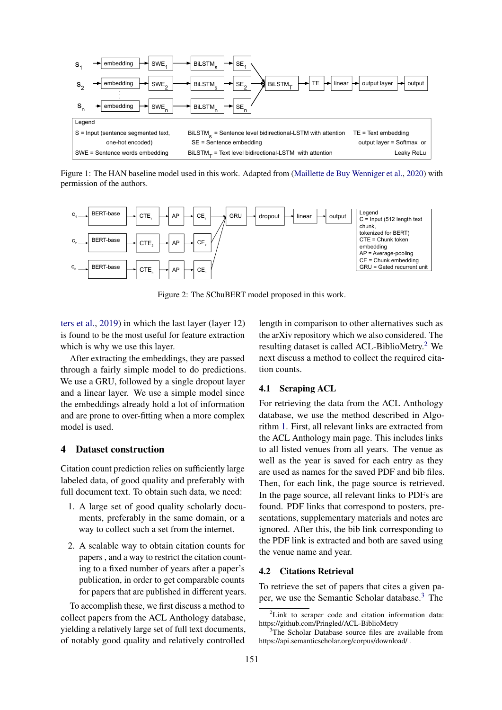<span id="page-3-0"></span>

 Figure 1: The HAN baseline model used in this work. Adapted from [\(Maillette de Buy Wenniger et al.,](#page-8-5) [2020\)](#page-8-5) with permission of the authors.

<span id="page-3-1"></span>

Figure 2: The SChuBERT model proposed in this work.

[ters et al.,](#page-9-7) [2019\)](#page-9-7) in which the last layer (layer 12) is found to be the most useful for feature extraction which is why we use this layer.

After extracting the embeddings, they are passed through a fairly simple model to do predictions. We use a GRU, followed by a single dropout layer and a linear layer. We use a simple model since the embeddings already hold a lot of information and are prone to over-fitting when a more complex model is used.

## 4 Dataset construction

Citation count prediction relies on sufficiently large labeled data, of good quality and preferably with full document text. To obtain such data, we need:

- 1. A large set of good quality scholarly documents, preferably in the same domain, or a way to collect such a set from the internet.
- 2. A scalable way to obtain citation counts for papers , and a way to restrict the citation counting to a fixed number of years after a paper's publication, in order to get comparable counts for papers that are published in different years.

To accomplish these, we first discuss a method to collect papers from the ACL Anthology database, yielding a relatively large set of full text documents, of notably good quality and relatively controlled

length in comparison to other alternatives such as the arXiv repository which we also considered. The resulting dataset is called ACL-BiblioMetry.[2](#page-3-2) We next discuss a method to collect the required citation counts.

#### 4.1 Scraping ACL

For retrieving the data from the ACL Anthology database, we use the method described in Algorithm [1.](#page-4-0) First, all relevant links are extracted from the ACL Anthology main page. This includes links to all listed venues from all years. The venue as well as the year is saved for each entry as they are used as names for the saved PDF and bib files. Then, for each link, the page source is retrieved. In the page source, all relevant links to PDFs are found. PDF links that correspond to posters, presentations, supplementary materials and notes are ignored. After this, the bib link corresponding to the PDF link is extracted and both are saved using the venue name and year.

#### 4.2 Citations Retrieval

To retrieve the set of papers that cites a given paper, we use the Semantic Scholar database.[3](#page-3-3) The

<span id="page-3-2"></span> ${}^{2}$ Link to scraper code and citation information data: https://github.com/Pringled/ACL-BiblioMetry

<span id="page-3-3"></span>The Scholar Database source files are available from https://api.semanticscholar.org/corpus/download/ .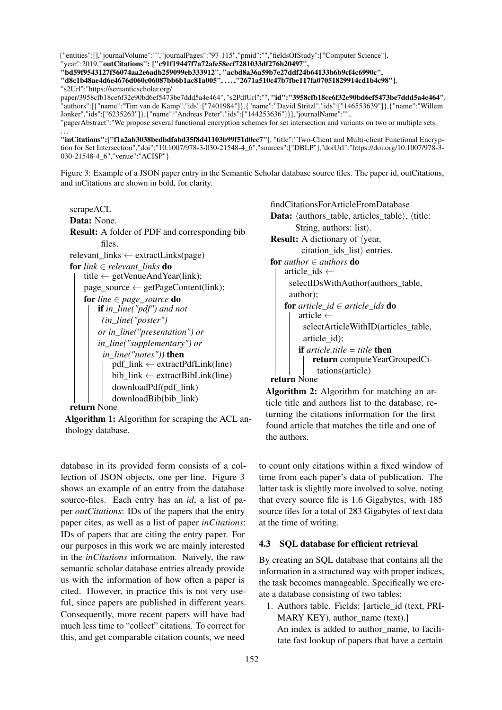<span id="page-4-1"></span>{"entities":[],"journalVolume":"","journalPages":"97-115","pmid":"","fieldsOfStudy":["Computer Science"], "year":2019,"outCitations": ["c91f19447f7a72afe58ecf7281033df276b20497", "bd59f9543127f56074aa2e6adb259099eb333912", "acbd8a36a59b7e27ddf24b64133b6b9cf4c6990c", "d8c1b48ae4d6e4676d060c06087bb6b1ac81a005", . . . ,"2671a510c47b7fbe117fa07051829914cd1b4c98"], "s2Url":"https://semanticscholar.org/ paper/3958cfb18ce6f32e90bd6ef5473be7ddd5a4e464", "s2PdfUrl":"", "id":"3958cfb18ce6f32e90bd6ef5473be7ddd5a4e464", "authors":[{"name":"Tim van de Kamp","ids":["7401984"]},{"name":"David Stritzl","ids":["146553639"]},{"name":"Willem Jonker","ids":["6235263"]},{"name":"Andreas Peter","ids":["144253636"]}],"journalName":"", "paperAbstract":"We propose several functional encryption schemes for set intersection and variants on two or multiple sets.

. . . "inCitations":["f1a2ab3038bedbdfabd35f8d41103b99f51d0ec7"], "title":"Two-Client and Multi-client Functional Encryption for Set Intersection","doi":"10.1007/978-3-030-21548-4\_6","sources":["DBLP"],"doiUrl":"https://doi.org/10.1007/978-3- 030-21548-4\_6","venue":"ACISP"}

Figure 3: Example of a JSON paper entry in the Semantic Scholar database source files. The paper id, outCitations, and inCitations are shown in bold, for clarity.

```
scrapeACL
Data: None.
Result: A folder of PDF and corresponding bib
        files.
relevant links \leftarrow extractLinks(page)for link \in relevant links do
    title \leftarrow getVenueAndYear(link);
    page\_source \leftarrow getPageContent(link);for line ∈ page_source do
       if in_line("pdf") and not
         (in_line("poster")
        or in_line("presentation") or
        in_line("supplementary") or
         in_line("notes")) then
            pdf_link ← extractPdfLink(line)
            bib link \leftarrow extractBibLink(line)downloadPdf(pdf_link)
            downloadBib(bib_link)
```
<span id="page-4-0"></span>return None

Algorithm 1: Algorithm for scraping the ACL anthology database.

database in its provided form consists of a collection of JSON objects, one per line. Figure [3](#page-4-1) shows an example of an entry from the database source-files. Each entry has an *id*, a list of paper *outCitations*: IDs of the papers that the entry paper cites, as well as a list of paper *inCitations*: IDs of papers that are citing the entry paper. For our purposes in this work we are mainly interested in the *inCitations* information. Naively, the raw semantic scholar database entries already provide us with the information of how often a paper is cited. However, in practice this is not very useful, since papers are published in different years. Consequently, more recent papers will have had much less time to "collect" citations. To correct for this, and get comparable citation counts, we need

findCitationsForArticleFromDatabase Data:  $\langle \text{authors\_table}, \text{article\_table} \rangle$ ,  $\langle \text{title:}$ String, authors: list $\rangle$ . **Result:** A dictionary of  $\langle$ year, citation\_ids\_list $\rangle$  entries. for *author* ∈ *authors* do article ids  $\leftarrow$ selectIDsWithAuthor(authors\_table, author); for *article*  $id \in$  *article ids* do article  $\leftarrow$ selectArticleWithID(articles\_table, article\_id); if *article.title = title* then return computeYearGroupedCitations(article)

#### return None

<span id="page-4-2"></span>Algorithm 2: Algorithm for matching an article title and authors list to the database, returning the citations information for the first found article that matches the title and one of the authors.

to count only citations within a fixed window of time from each paper's data of publication. The latter task is slightly more involved to solve, noting that every source file is 1.6 Gigabytes, with 185 source files for a total of 283 Gigabytes of text data at the time of writing.

#### 4.3 SQL database for efficient retrieval

By creating an SQL database that contains all the information in a structured way with proper indices, the task becomes manageable. Specifically we create a database consisting of two tables:

1. Authors table. Fields: [article\_id (text, PRI-MARY KEY), author\_name (text).] An index is added to author name, to facilitate fast lookup of papers that have a certain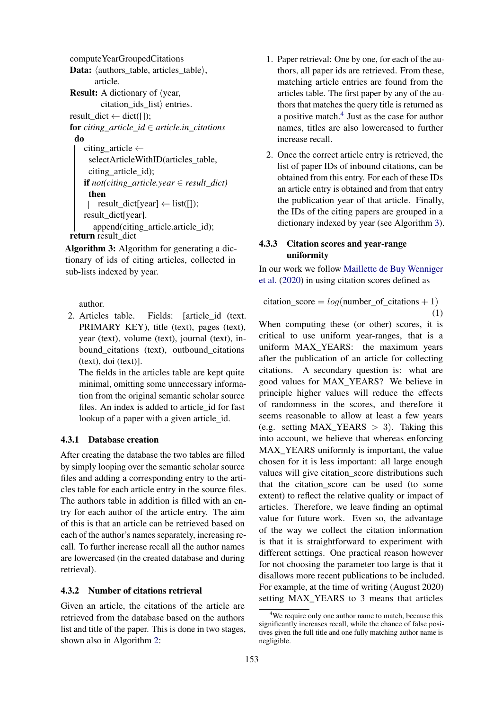computeYearGroupedCitations **Data:** (authors table, articles table), article. **Result:** A dictionary of  $\langle$ year,  $citation\_ids\_list$  entries. result  $dict \leftarrow dict(\lceil$ ); **for** *citing article*  $id \in$  *article.in citations* do citing\_article  $\leftarrow$ selectArticleWithID(articles\_table, citing article id); if *not(citing\_article.year* ∈ *result\_dict)* then  $\vert$  result\_dict[year]  $\leftarrow$  list([]); result\_dict[year]. append(citing\_article.article\_id); return result dict

<span id="page-5-1"></span>Algorithm 3: Algorithm for generating a dictionary of ids of citing articles, collected in sub-lists indexed by year.

author.

2. Articles table. Fields: [article\_id (text. PRIMARY KEY), title (text), pages (text), year (text), volume (text), journal (text), inbound\_citations (text), outbound\_citations (text), doi (text)].

The fields in the articles table are kept quite minimal, omitting some unnecessary information from the original semantic scholar source files. An index is added to article id for fast lookup of a paper with a given article\_id.

## 4.3.1 Database creation

After creating the database the two tables are filled by simply looping over the semantic scholar source files and adding a corresponding entry to the articles table for each article entry in the source files. The authors table in addition is filled with an entry for each author of the article entry. The aim of this is that an article can be retrieved based on each of the author's names separately, increasing recall. To further increase recall all the author names are lowercased (in the created database and during retrieval).

## 4.3.2 Number of citations retrieval

Given an article, the citations of the article are retrieved from the database based on the authors list and title of the paper. This is done in two stages, shown also in Algorithm [2:](#page-4-2)

- 1. Paper retrieval: One by one, for each of the authors, all paper ids are retrieved. From these, matching article entries are found from the articles table. The first paper by any of the authors that matches the query title is returned as a positive match.<sup>[4](#page-5-0)</sup> Just as the case for author names, titles are also lowercased to further increase recall.
- 2. Once the correct article entry is retrieved, the list of paper IDs of inbound citations, can be obtained from this entry. For each of these IDs an article entry is obtained and from that entry the publication year of that article. Finally, the IDs of the citing papers are grouped in a dictionary indexed by year (see Algorithm [3\)](#page-5-1).

## 4.3.3 Citation scores and year-range uniformity

In our work we follow [Maillette de Buy Wenniger](#page-8-5) [et al.](#page-8-5) [\(2020\)](#page-8-5) in using citation scores defined as

$$
citation\_score = log(number_of_citations + 1)
$$
  
(1)

When computing these (or other) scores, it is critical to use uniform year-ranges, that is a uniform MAX YEARS: the maximum years after the publication of an article for collecting citations. A secondary question is: what are good values for MAX\_YEARS? We believe in principle higher values will reduce the effects of randomness in the scores, and therefore it seems reasonable to allow at least a few years (e.g. setting MAX YEARS  $> 3$ ). Taking this into account, we believe that whereas enforcing MAX YEARS uniformly is important, the value chosen for it is less important: all large enough values will give citation score distributions such that the citation\_score can be used (to some extent) to reflect the relative quality or impact of articles. Therefore, we leave finding an optimal value for future work. Even so, the advantage of the way we collect the citation information is that it is straightforward to experiment with different settings. One practical reason however for not choosing the parameter too large is that it disallows more recent publications to be included. For example, at the time of writing (August 2020) setting MAX YEARS to 3 means that articles

<span id="page-5-0"></span><sup>&</sup>lt;sup>4</sup>We require only one author name to match, because this significantly increases recall, while the chance of false positives given the full title and one fully matching author name is negligible.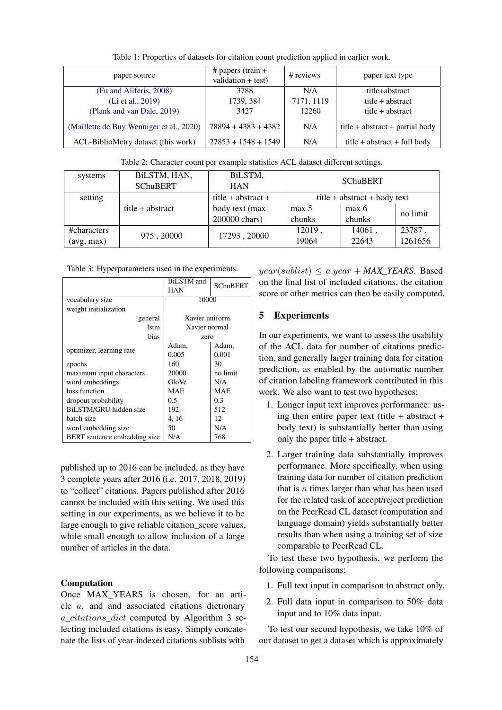<span id="page-6-0"></span>

| paper source                             | $#$ papers (train $+$<br>validation $+$ test) | # reviews  | paper text type                     |
|------------------------------------------|-----------------------------------------------|------------|-------------------------------------|
| (Fu and Aliferis, 2008)                  | 3788                                          | N/A        | title+abstract                      |
| (Li et al., 2019)                        | 1739, 384                                     | 7171, 1119 | $title + abstract$                  |
| (Plank and van Dale, 2019)               | 3427                                          | 12260      | title + abstract                    |
| (Maillette de Buy Wenniger et al., 2020) | $78894 + 4383 + 4382$                         | N/A        | title $+$ abstract $+$ partial body |
| ACL-BiblioMetry dataset (this work)      | $27853 + 1548 + 1549$                         | N/A        | title + abstract + full body        |

Table 1: Properties of datasets for citation count prediction applied in earlier work.

Table 2: Character count per example statistics ACL dataset different settings.

<span id="page-6-1"></span>

| systems     | BiLSTM, HAN,     | BiLSTM,            | <b>SChuBERT</b>                |        |          |
|-------------|------------------|--------------------|--------------------------------|--------|----------|
|             | <b>SChuBERT</b>  | <b>HAN</b>         |                                |        |          |
| setting     |                  | title + abstract + | $title + abstract + body text$ |        |          |
|             | title + abstract | body text (max)    | max 5                          | max 6  | no limit |
|             |                  | 200000 chars)      | chunks                         | chunks |          |
| #characters | 975, 20000       | 17293, 20000       | 12019,                         | 14061, | 23787    |
| (avg, max)  |                  |                    | 19064                          | 22643  | 1261656  |

<span id="page-6-2"></span>Table 3: Hyperparameters used in the experiments.

|                                     | <b>BiLSTM</b> and | <b>SChuBERT</b> |  |
|-------------------------------------|-------------------|-----------------|--|
|                                     | HAN               |                 |  |
| vocabulary size                     | 10000             |                 |  |
| weight initialization               |                   |                 |  |
| general                             | Xavier uniform    |                 |  |
| 1stm                                | Xavier normal     |                 |  |
| bias                                | zero              |                 |  |
|                                     | Adam,             | Adam,           |  |
| optimizer, learning rate            | 0.005             | 0.001           |  |
| epochs                              | 160               | 30              |  |
| maximum input characters            | 20000             | no limit        |  |
| word embeddings                     | GloVe             | N/A             |  |
| loss function                       | <b>MAE</b>        | <b>MAE</b>      |  |
| dropout probability                 | 0.5               | 0.3             |  |
| BiLSTM/GRU hidden size              | 192               | 512             |  |
| batch size                          | 4, 16             | 12              |  |
| word embedding size                 | 50                | N/A             |  |
| <b>BERT</b> sentence embedding size | N/A               | 768             |  |

published up to 2016 can be included, as they have 3 complete years after 2016 (i.e. 2017, 2018, 2019) to "collect" citations. Papers published after 2016 cannot be included with this setting. We used this setting in our experiments, as we believe it to be large enough to give reliable citation score values, while small enough to allow inclusion of a large number of articles in the data.

## Computation

Once MAX\_YEARS is chosen, for an article a, and and associated citations dictionary a\_citations\_dict computed by Algorithm [3](#page-5-1) selecting included citations is easy. Simply concatenate the lists of year-indexed citations sublists with

 $year(sublist) \le a.year + MAX_YEARS.$  Based on the final list of included citations, the citation score or other metrics can then be easily computed.

# 5 Experiments

In our experiments, we want to assess the usability of the ACL data for number of citations prediction, and generally larger training data for citation prediction, as enabled by the automatic number of citation labeling framework contributed in this work. We also want to test two hypotheses:

- 1. Longer input text improves performance: using then entire paper text (title  $+$  abstract  $+$ body text) is substantially better than using only the paper title + abstract.
- 2. Larger training data substantially improves performance. More specifically, when using training data for number of citation prediction that is  $n$  times larger than what has been used for the related task of accept/reject prediction on the PeerRead CL dataset (computation and language domain) yields substantially better results than when using a training set of size comparable to PeerRead CL.

To test these two hypothesis, we perform the following comparisons:

- 1. Full text input in comparison to abstract only.
- 2. Full data input in comparison to 50% data input and to 10% data input.

To test our second hypothesis, we take 10% of our dataset to get a dataset which is approximately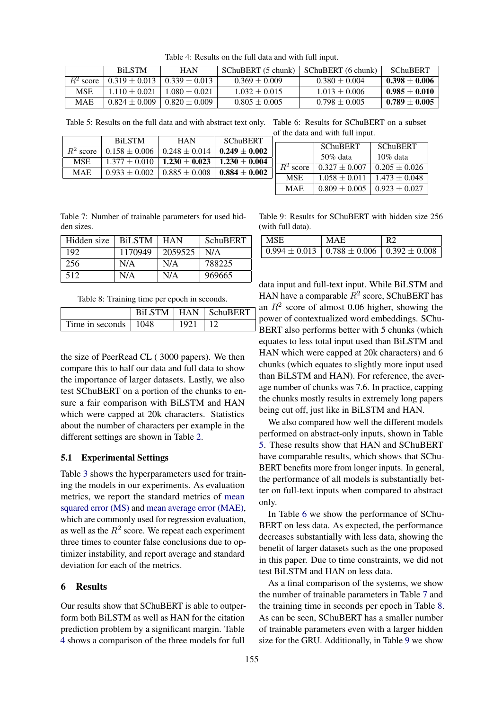<span id="page-7-0"></span>

|             | <b>BiLSTM</b>     | HAN               | SChuBERT (5 chunk) | SChuBERT (6 chunk) | <b>SChuBERT</b>   |
|-------------|-------------------|-------------------|--------------------|--------------------|-------------------|
| $R^2$ score | $0.319 \pm 0.013$ | $0.339 + 0.013$   | $0.369 \pm 0.009$  | $0.380 + 0.004$    | $0.398\pm0.006$   |
| <b>MSE</b>  | $1.110 \pm 0.021$ | $0.080 + 0.021$   | $1.032 \pm 0.015$  | $1.013 \pm 0.006$  | $0.985 \pm 0.010$ |
| <b>MAE</b>  | $0.824 \pm 0.009$ | $0.820 \pm 0.009$ | $0.805 \pm 0.005$  | $0.798 \pm 0.005$  | $0.789\pm0.005$   |

Table 4: Results on the full data and with full input.

<span id="page-7-1"></span>Table 5: Results on the full data and with abstract text only. Table 6: Results for SChuBERT on a subset of the data and with full input.

|             |                   |                                       |                   |             | of the data and with full input. |                   |
|-------------|-------------------|---------------------------------------|-------------------|-------------|----------------------------------|-------------------|
|             | <b>BiLSTM</b>     | <b>HAN</b>                            | <b>SChuBERT</b>   |             |                                  |                   |
|             |                   |                                       |                   |             | <b>SChuBERT</b>                  | SChuBERT          |
| $R^2$ score | $0.158 \pm 0.006$ | $0.248 \pm 0.014$                     | $0.249 \pm 0.002$ |             |                                  |                   |
| <b>MSE</b>  |                   | $1.377 \pm 0.010 \pm 1.230 \pm 0.023$ | $1.230 \pm 0.004$ |             | 50% data                         | $10\%$ data       |
|             |                   |                                       |                   | $R^2$ score | $0.327 \pm 0.007$                | $0.205 \pm 0.026$ |
| <b>MAE</b>  | $0.933 \pm 0.002$ | $0.885 \pm 0.008$                     | $0.884 \pm 0.002$ |             |                                  |                   |
|             |                   |                                       |                   | <b>MSE</b>  | $1.058 \pm 0.011$                | $1.473 \pm 0.048$ |
|             |                   |                                       |                   | <b>MAE</b>  | $0.809 \pm 0.005$                | $0.923 \pm 0.027$ |
|             |                   |                                       |                   |             |                                  |                   |

<span id="page-7-2"></span>Table 7: Number of trainable parameters for used hidden sizes.

| Hidden size | <b>BiLSTM</b> | HAN     | SchuBERT |
|-------------|---------------|---------|----------|
| 192         | 1170949       | 2059525 | N/A      |
| 256         | N/A           | N/A     | 788225   |
| 512         | N/A           | N/A     | 969665   |

Table 8: Training time per epoch in seconds.

<span id="page-7-3"></span>

|                              |      | BILSTM   HAN   SchuBERT |
|------------------------------|------|-------------------------|
| Time in seconds $\vert$ 1048 | 1921 |                         |

the size of PeerRead CL ( 3000 papers). We then compare this to half our data and full data to show the importance of larger datasets. Lastly, we also test SChuBERT on a portion of the chunks to ensure a fair comparison with BiLSTM and HAN which were capped at 20k characters. Statistics about the number of characters per example in the different settings are shown in Table [2.](#page-6-1)

#### 5.1 Experimental Settings

Table [3](#page-6-2) shows the hyperparameters used for training the models in our experiments. As evaluation metrics, we report the standard metrics of [mean](#page-0-0) [squared error \(MS\)](#page-0-0) and [mean average error \(MAE\),](#page-0-0) which are commonly used for regression evaluation, as well as the  $R^2$  score. We repeat each experiment three times to counter false conclusions due to optimizer instability, and report average and standard deviation for each of the metrics.

#### 6 Results

Our results show that SChuBERT is able to outperform both BiLSTM as well as HAN for the citation prediction problem by a significant margin. Table [4](#page-7-0) shows a comparison of the three models for full

<span id="page-7-4"></span>Table 9: Results for SChuBERT with hidden size 256 (with full data).

| <b>MSE</b>                                                                | MAF |  |
|---------------------------------------------------------------------------|-----|--|
| $\vert 0.994 \pm 0.013 \vert 0.788 \pm 0.006 \vert 0.392 \pm 0.008 \vert$ |     |  |

data input and full-text input. While BiLSTM and HAN have a comparable  $R^2$  score, SChuBERT has an  $R<sup>2</sup>$  score of almost 0.06 higher, showing the power of contextualized word embeddings. SChu-BERT also performs better with 5 chunks (which equates to less total input used than BiLSTM and HAN which were capped at 20k characters) and 6 chunks (which equates to slightly more input used than BiLSTM and HAN). For reference, the average number of chunks was 7.6. In practice, capping the chunks mostly results in extremely long papers being cut off, just like in BiLSTM and HAN.

We also compared how well the different models performed on abstract-only inputs, shown in Table [5.](#page-7-1) These results show that HAN and SChuBERT have comparable results, which shows that SChu-BERT benefits more from longer inputs. In general, the performance of all models is substantially better on full-text inputs when compared to abstract only.

In Table [6](#page-7-1) we show the performance of SChu-BERT on less data. As expected, the performance decreases substantially with less data, showing the benefit of larger datasets such as the one proposed in this paper. Due to time constraints, we did not test BiLSTM and HAN on less data.

As a final comparison of the systems, we show the number of trainable parameters in Table [7](#page-7-2) and the training time in seconds per epoch in Table [8.](#page-7-3) As can be seen, SChuBERT has a smaller number of trainable parameters even with a larger hidden size for the GRU. Additionally, in Table [9](#page-7-4) we show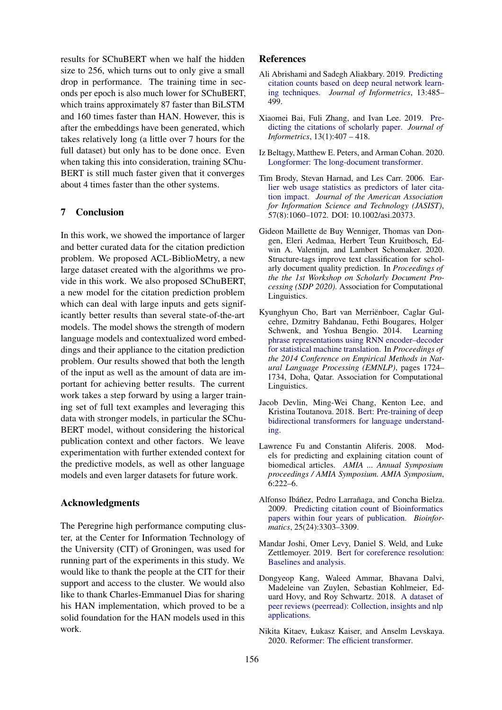results for SChuBERT when we half the hidden size to 256, which turns out to only give a small drop in performance. The training time in seconds per epoch is also much lower for SChuBERT, which trains approximately 87 faster than BiLSTM and 160 times faster than HAN. However, this is after the embeddings have been generated, which takes relatively long (a little over 7 hours for the full dataset) but only has to be done once. Even when taking this into consideration, training SChu-BERT is still much faster given that it converges about 4 times faster than the other systems.

## 7 Conclusion

In this work, we showed the importance of larger and better curated data for the citation prediction problem. We proposed ACL-BiblioMetry, a new large dataset created with the algorithms we provide in this work. We also proposed SChuBERT, a new model for the citation prediction problem which can deal with large inputs and gets significantly better results than several state-of-the-art models. The model shows the strength of modern language models and contextualized word embeddings and their appliance to the citation prediction problem. Our results showed that both the length of the input as well as the amount of data are important for achieving better results. The current work takes a step forward by using a larger training set of full text examples and leveraging this data with stronger models, in particular the SChu-BERT model, without considering the historical publication context and other factors. We leave experimentation with further extended context for the predictive models, as well as other language models and even larger datasets for future work.

### Acknowledgments

The Peregrine high performance computing cluster, at the Center for Information Technology of the University (CIT) of Groningen, was used for running part of the experiments in this study. We would like to thank the people at the CIT for their support and access to the cluster. We would also like to thank Charles-Emmanuel Dias for sharing his HAN implementation, which proved to be a solid foundation for the HAN models used in this work.

#### References

- <span id="page-8-8"></span>Ali Abrishami and Sadegh Aliakbary. 2019. [Predicting](https://doi.org/10.1016/j.joi.2019.02.011) [citation counts based on deep neural network learn](https://doi.org/10.1016/j.joi.2019.02.011)[ing techniques.](https://doi.org/10.1016/j.joi.2019.02.011) *Journal of Informetrics*, 13:485– 499.
- <span id="page-8-9"></span>Xiaomei Bai, Fuli Zhang, and Ivan Lee. 2019. [Pre](https://doi.org/https://doi.org/10.1016/j.joi.2019.01.010)[dicting the citations of scholarly paper.](https://doi.org/https://doi.org/10.1016/j.joi.2019.01.010) *Journal of Informetrics*, 13(1):407 – 418.
- <span id="page-8-2"></span>Iz Beltagy, Matthew E. Peters, and Arman Cohan. 2020. [Longformer: The long-document transformer.](http://arxiv.org/abs/2004.05150)
- <span id="page-8-7"></span>Tim Brody, Stevan Harnad, and Les Carr. 2006. [Ear](https://eprints.soton.ac.uk/260713/)[lier web usage statistics as predictors of later cita](https://eprints.soton.ac.uk/260713/)[tion impact.](https://eprints.soton.ac.uk/260713/) *Journal of the American Association for Information Science and Technology (JASIST)*, 57(8):1060–1072. DOI: 10.1002/asi.20373.
- <span id="page-8-5"></span>Gideon Maillette de Buy Wenniger, Thomas van Dongen, Eleri Aedmaa, Herbert Teun Kruitbosch, Edwin A. Valentijn, and Lambert Schomaker. 2020. Structure-tags improve text classification for scholarly document quality prediction. In *Proceedings of the the 1st Workshop on Scholarly Document Processing (SDP 2020)*. Association for Computational Linguistics.
- <span id="page-8-3"></span>Kyunghyun Cho, Bart van Merriënboer, Caglar Gulcehre, Dzmitry Bahdanau, Fethi Bougares, Holger Schwenk, and Yoshua Bengio. 2014. [Learning](https://doi.org/10.3115/v1/D14-1179) [phrase representations using RNN encoder–decoder](https://doi.org/10.3115/v1/D14-1179) [for statistical machine translation.](https://doi.org/10.3115/v1/D14-1179) In *Proceedings of the 2014 Conference on Empirical Methods in Natural Language Processing (EMNLP)*, pages 1724– 1734, Doha, Qatar. Association for Computational Linguistics.
- <span id="page-8-0"></span>Jacob Devlin, Ming-Wei Chang, Kenton Lee, and Kristina Toutanova. 2018. [Bert: Pre-training of deep](http://arxiv.org/abs/1810.04805) [bidirectional transformers for language understand](http://arxiv.org/abs/1810.04805)[ing.](http://arxiv.org/abs/1810.04805)
- <span id="page-8-4"></span>Lawrence Fu and Constantin Aliferis. 2008. Models for predicting and explaining citation count of biomedical articles. *AMIA ... Annual Symposium proceedings / AMIA Symposium. AMIA Symposium*, 6:222–6.
- <span id="page-8-10"></span>Alfonso Ibáñez, Pedro Larrañaga, and Concha Bielza. 2009. [Predicting citation count of Bioinformatics](https://doi.org/10.1093/bioinformatics/btp585) [papers within four years of publication.](https://doi.org/10.1093/bioinformatics/btp585) *Bioinformatics*, 25(24):3303–3309.
- <span id="page-8-11"></span>Mandar Joshi, Omer Levy, Daniel S. Weld, and Luke Zettlemoyer. 2019. [Bert for coreference resolution:](http://arxiv.org/abs/1908.09091) [Baselines and analysis.](http://arxiv.org/abs/1908.09091)
- <span id="page-8-6"></span>Dongyeop Kang, Waleed Ammar, Bhavana Dalvi, Madeleine van Zuylen, Sebastian Kohlmeier, Eduard Hovy, and Roy Schwartz. 2018. [A dataset of](http://arxiv.org/abs/1804.09635) [peer reviews \(peerread\): Collection, insights and nlp](http://arxiv.org/abs/1804.09635) [applications.](http://arxiv.org/abs/1804.09635)
- <span id="page-8-1"></span>Nikita Kitaev, Łukasz Kaiser, and Anselm Levskaya. 2020. [Reformer: The efficient transformer.](http://arxiv.org/abs/2001.04451)